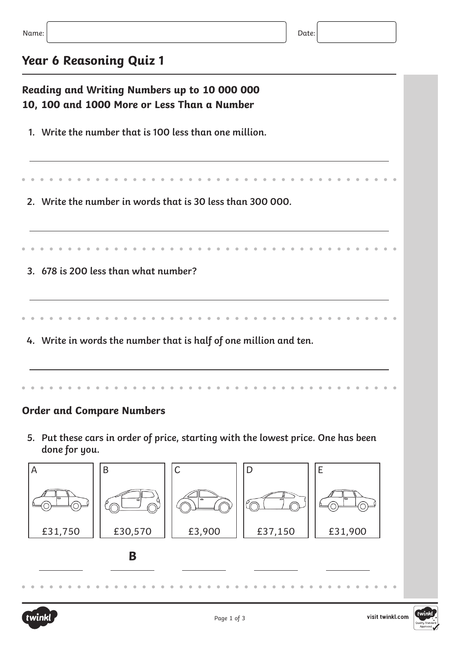## **Year 6 Reasoning Quiz 1**

| Reading and Writing Numbers up to 10 000 000<br>10, 100 and 1000 More or Less Than a Number        |             |         |         |  |  |
|----------------------------------------------------------------------------------------------------|-------------|---------|---------|--|--|
| 1. Write the number that is 100 less than one million.                                             |             |         |         |  |  |
|                                                                                                    |             |         |         |  |  |
| 2. Write the number in words that is 30 less than 300 000.                                         |             |         |         |  |  |
|                                                                                                    |             |         |         |  |  |
| 3. 678 is 200 less than what number?                                                               |             |         |         |  |  |
|                                                                                                    |             |         |         |  |  |
| 4. Write in words the number that is half of one million and ten.                                  |             |         |         |  |  |
|                                                                                                    |             |         |         |  |  |
| <b>Order and Compare Numbers</b>                                                                   |             |         |         |  |  |
| 5. Put these cars in order of price, starting with the lowest price. One has been<br>done for you. |             |         |         |  |  |
| $\overline{A}$<br>$\sf B$                                                                          | $\mathsf C$ | D       | E       |  |  |
|                                                                                                    |             |         |         |  |  |
| £30,570<br>£31,750                                                                                 | £3,900      | £37,150 | £31,900 |  |  |
| B                                                                                                  |             |         |         |  |  |
|                                                                                                    |             |         |         |  |  |



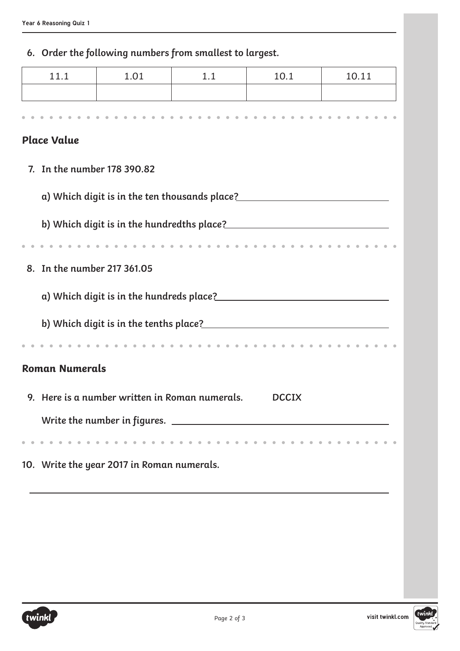## **6. Order the following numbers from smallest to largest.**

| 11.1                        | 1.01                                           | 1.1                                                                                                            | 10.1         | 10.11 |  |
|-----------------------------|------------------------------------------------|----------------------------------------------------------------------------------------------------------------|--------------|-------|--|
|                             |                                                |                                                                                                                |              |       |  |
|                             |                                                |                                                                                                                |              |       |  |
| <b>Place Value</b>          |                                                |                                                                                                                |              |       |  |
| 7. In the number 178 390.82 |                                                |                                                                                                                |              |       |  |
|                             |                                                |                                                                                                                |              |       |  |
|                             |                                                | a) Which digit is in the ten thousands place?___________________________________                               |              |       |  |
|                             |                                                |                                                                                                                |              |       |  |
|                             |                                                |                                                                                                                |              |       |  |
| 8. In the number 217 361.05 |                                                |                                                                                                                |              |       |  |
|                             |                                                |                                                                                                                |              |       |  |
|                             |                                                |                                                                                                                |              |       |  |
|                             |                                                | b) Which digit is in the tenths place? Manuscript and Michael School and Michael School and Michael School and |              |       |  |
|                             |                                                | .                                                                                                              |              |       |  |
| <b>Roman Numerals</b>       |                                                |                                                                                                                |              |       |  |
|                             | 9. Here is a number written in Roman numerals. |                                                                                                                | <b>DCCIX</b> |       |  |
|                             |                                                |                                                                                                                |              |       |  |
|                             |                                                |                                                                                                                |              |       |  |
|                             | 10. Write the year 2017 in Roman numerals.     |                                                                                                                |              |       |  |
|                             |                                                |                                                                                                                |              |       |  |
|                             |                                                |                                                                                                                |              |       |  |
|                             |                                                |                                                                                                                |              |       |  |
|                             |                                                |                                                                                                                |              |       |  |
|                             |                                                |                                                                                                                |              |       |  |

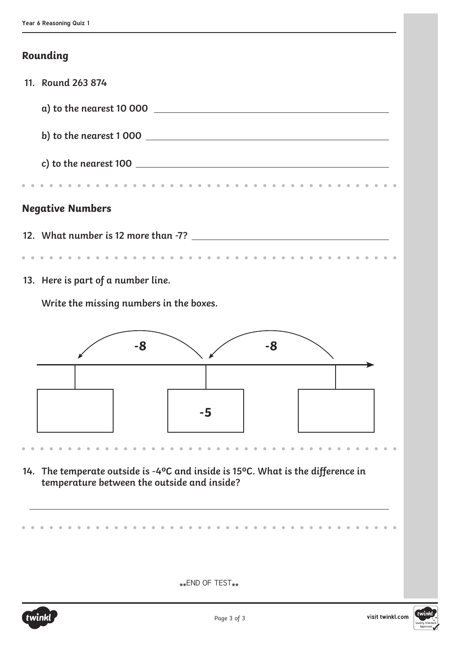## **Rounding**

| 11. Round 263 874                                                                                   |    |  |    |   |  |
|-----------------------------------------------------------------------------------------------------|----|--|----|---|--|
|                                                                                                     |    |  |    |   |  |
|                                                                                                     |    |  |    |   |  |
|                                                                                                     |    |  |    |   |  |
|                                                                                                     |    |  |    |   |  |
|                                                                                                     |    |  |    | . |  |
| <b>Negative Numbers</b>                                                                             |    |  |    |   |  |
|                                                                                                     |    |  |    |   |  |
|                                                                                                     |    |  |    |   |  |
| 13. Here is part of a number line.                                                                  |    |  |    |   |  |
| Write the missing numbers in the boxes.                                                             |    |  |    |   |  |
|                                                                                                     |    |  |    |   |  |
|                                                                                                     |    |  |    |   |  |
|                                                                                                     |    |  |    |   |  |
|                                                                                                     | -8 |  | -8 |   |  |
|                                                                                                     |    |  |    |   |  |
|                                                                                                     |    |  |    |   |  |
|                                                                                                     |    |  |    |   |  |
|                                                                                                     |    |  |    |   |  |
|                                                                                                     |    |  |    |   |  |
| 14. The temperate outside is -4 $\degree$ C and inside is 15 $\degree$ C. What is the difference in |    |  |    |   |  |
| temperature between the outside and inside?                                                         |    |  |    |   |  |
|                                                                                                     |    |  |    |   |  |
|                                                                                                     |    |  |    |   |  |
|                                                                                                     |    |  |    |   |  |
|                                                                                                     |    |  |    |   |  |